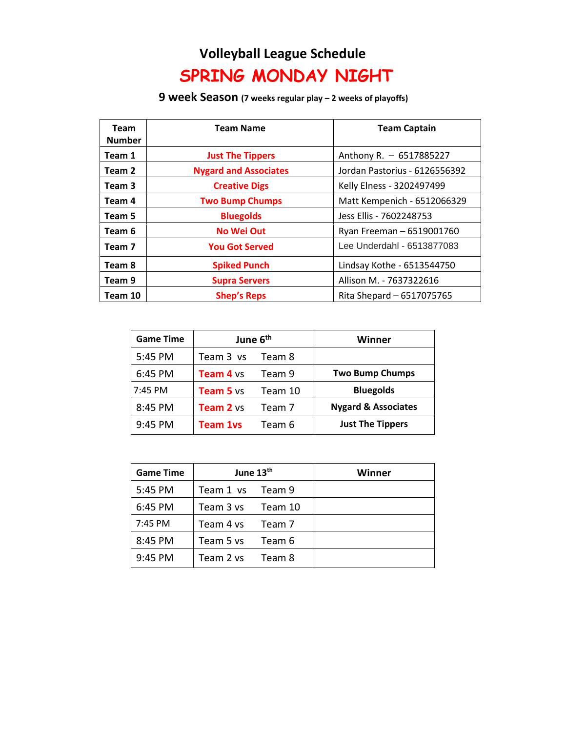## **Volleyball League Schedule SPRING MONDAY NIGHT**

## **9 week Season (7 weeks regular play – 2 weeks of playoffs)**

| Team<br><b>Number</b> | <b>Team Name</b>             | <b>Team Captain</b>           |
|-----------------------|------------------------------|-------------------------------|
| Team 1                | <b>Just The Tippers</b>      | Anthony R. - 6517885227       |
| Team 2                | <b>Nygard and Associates</b> | Jordan Pastorius - 6126556392 |
| Team 3                | <b>Creative Digs</b>         | Kelly Elness - 3202497499     |
| Team 4                | <b>Two Bump Chumps</b>       | Matt Kempenich - 6512066329   |
| Team 5                | <b>Bluegolds</b>             | Jess Ellis - 7602248753       |
| Team 6                | <b>No Wei Out</b>            | Ryan Freeman - 6519001760     |
| Team 7                | <b>You Got Served</b>        | Lee Underdahl - 6513877083    |
| Team 8                | <b>Spiked Punch</b>          | Lindsay Kothe - 6513544750    |
| Team 9                | <b>Supra Servers</b>         | Allison M. - 7637322616       |
| Team 10               | <b>Shep's Reps</b>           | Rita Shepard - 6517075765     |

| <b>Game Time</b> | June 6 <sup>th</sup> |         | Winner                         |
|------------------|----------------------|---------|--------------------------------|
| 5:45 PM          | Team 3 vs            | Team 8  |                                |
| 6:45 PM          | <b>Team 4 vs</b>     | Team 9  | <b>Two Bump Chumps</b>         |
| 7:45 PM          | <b>Team 5 vs</b>     | Team 10 | <b>Bluegolds</b>               |
| 8:45 PM          | <b>Team 2</b> vs     | Team 7  | <b>Nygard &amp; Associates</b> |
| 9:45 PM          | <b>Team 1vs</b>      | Team 6  | <b>Just The Tippers</b>        |

| <b>Game Time</b> | June 13th        |         | Winner |
|------------------|------------------|---------|--------|
| 5:45 PM          | Team 1 ys Team 9 |         |        |
| 6:45 PM          | Team 3 vs        | Team 10 |        |
| 7:45 PM          | Team 4 vs        | Team 7  |        |
| 8:45 PM          | Team 5 ys        | Team 6  |        |
| 9:45 PM          | Team 2 vs        | Team 8  |        |